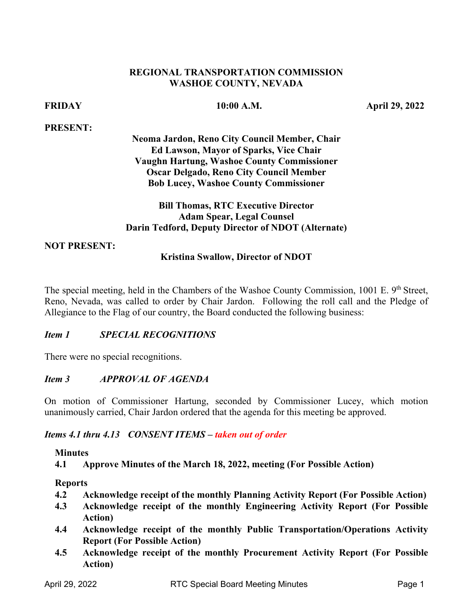### **REGIONAL TRANSPORTATION COMMISSION WASHOE COUNTY, NEVADA**

### **PRESENT:**

**FRIDAY 10:00 A.M. April 29, 2022** 

**Neoma Jardon, Reno City Council Member, Chair Ed Lawson, Mayor of Sparks, Vice Chair Vaughn Hartung, Washoe County Commissioner Oscar Delgado, Reno City Council Member** 

# **Bob Lucey, Washoe County Commissioner Bill Thomas, RTC Executive Director Adam Spear, Legal Counsel Darin Tedford, Deputy Director of NDOT (Alternate)**

### **NOT PRESENT:**

### **Kristina Swallow, Director of NDOT**

The special meeting, held in the Chambers of the Washoe County Commission, 1001 E. 9<sup>th</sup> Street, Reno, Nevada, was called to order by Chair Jardon. Following the roll call and the Pledge of Allegiance to the Flag of our country, the Board conducted the following business:

### *Item 1 SPECIAL RECOGNITIONS*

There were no special recognitions.

### $Item\ 3$ *Item 3 APPROVAL OF AGENDA*

 On motion of Commissioner Hartung, seconded by Commissioner Lucey, which motion unanimously carried, Chair Jardon ordered that the agenda for this meeting be approved.

### *Items 4.1 thru 4.13 CONSENT ITEMS – taken out of order*

### **Minutes**

 **4.1 Approve Minutes of the March 18, 2022, meeting (For Possible Action)** 

### **Reports**

- **4.2 Acknowledge receipt of the monthly Planning Activity Report (For Possible Action)**
- **4.3 Acknowledge receipt of the monthly Engineering Activity Report (For Possible Action)**
- **4.4 Acknowledge receipt of the monthly Public Transportation/Operations Activity Report (For Possible Action)**
- **4.5 Acknowledge receipt of the monthly Procurement Activity Report (For Possible Action)**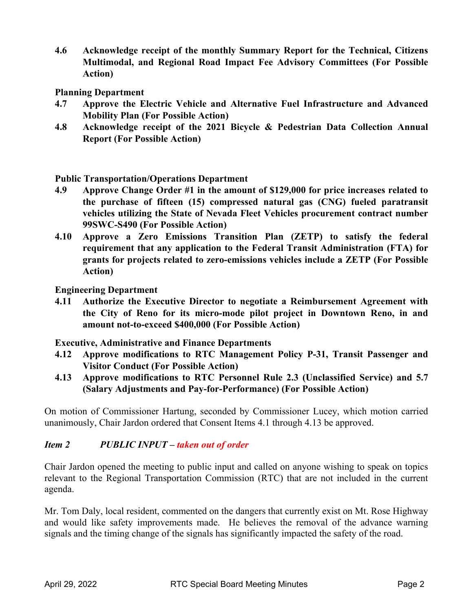**Multimodal, and Regional Road Impact Fee Advisory Committees (For Possible 4.6 Acknowledge receipt of the monthly Summary Report for the Technical, Citizens Action)** 

**Planning Department** 

- **Mobility Plan (For Possible Action) 4.7 Approve the Electric Vehicle and Alternative Fuel Infrastructure and Advanced**
- **Mobility Plan (For Possible Action) 4.8 Acknowledge receipt of the 2021 Bicycle & Pedestrian Data Collection Annual Report (For Possible Action)**

**Public Transportation/Operations Department** 

- **4.9 Approve Change Order #1 in the amount of \$129,000 for price increases related to**  99SWC-S490 (For Possible Action) **the purchase of fifteen (15) compressed natural gas (CNG) fueled paratransit vehicles utilizing the State of Nevada Fleet Vehicles procurement contract number**
- **grants for projects related to zero-emissions vehicles include a ZETP (For Possible 4.10 Approve a Zero Emissions Transition Plan (ZETP) to satisfy the federal requirement that any application to the Federal Transit Administration (FTA) for Action)**

**Engineering Department** 

 **4.11 Authorize the Executive Director to negotiate a Reimbursement Agreement with the City of Reno for its micro-mode pilot project in Downtown Reno, in and amount not-to-exceed \$400,000 (For Possible Action)** 

**Executive, Administrative and Finance Departments** 

- **4.12 Approve modifications to RTC Management Policy P-31, Transit Passenger and Visitor Conduct (For Possible Action)**
- **(Salary Adjustments and Pay-for-Performance) (For Possible Action) 4.13 Approve modifications to RTC Personnel Rule 2.3 (Unclassified Service) and 5.7**

 unanimously, Chair Jardon ordered that Consent Items 4.1 through 4.13 be approved. On motion of Commissioner Hartung, seconded by Commissioner Lucey, which motion carried

### *Item 2 PUBLIC INPUT – taken out of order*

 Chair Jardon opened the meeting to public input and called on anyone wishing to speak on topics relevant to the Regional Transportation Commission (RTC) that are not included in the current agenda.

Mr. Tom Daly, local resident, commented on the dangers that currently exist on Mt. Rose Highway and would like safety improvements made. He believes the removal of the advance warning signals and the timing change of the signals has significantly impacted the safety of the road.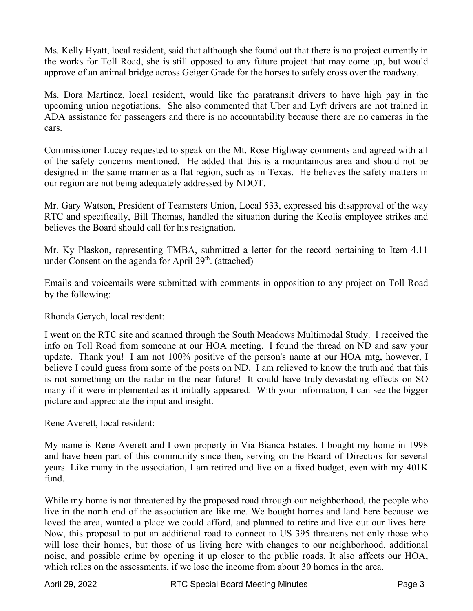the works for Toll Road, she is still opposed to any future project that may come up, but would Ms. Kelly Hyatt, local resident, said that although she found out that there is no project currently in approve of an animal bridge across Geiger Grade for the horses to safely cross over the roadway.

 Ms. Dora Martinez, local resident, would like the paratransit drivers to have high pay in the upcoming union negotiations. She also commented that Uber and Lyft drivers are not trained in ADA assistance for passengers and there is no accountability because there are no cameras in the cars.

 designed in the same manner as a flat region, such as in Texas. He believes the safety matters in Commissioner Lucey requested to speak on the Mt. Rose Highway comments and agreed with all of the safety concerns mentioned. He added that this is a mountainous area and should not be our region are not being adequately addressed by NDOT.

 Mr. Gary Watson, President of Teamsters Union, Local 533, expressed his disapproval of the way RTC and specifically, Bill Thomas, handled the situation during the Keolis employee strikes and believes the Board should call for his resignation.

 Mr. Ky Plaskon, representing TMBA, submitted a letter for the record pertaining to Item 4.11 under Consent on the agenda for April 29<sup>th</sup>. (attached)

 Emails and voicemails were submitted with comments in opposition to any project on Toll Road by the following:

Rhonda Gerych, local resident:

 I went on the RTC site and scanned through the South Meadows Multimodal Study. I received the info on Toll Road from someone at our HOA meeting. I found the thread on ND and saw your update. Thank you! I am not 100% positive of the person's name at our HOA mtg, however, I believe I could guess from some of the posts on ND. I am relieved to know the truth and that this is not something on the radar in the near future! It could have truly devastating effects on SO many if it were implemented as it initially appeared. With your information, I can see the bigger picture and appreciate the input and insight.

Rene Averett, local resident:

My name is Rene Averett and I own property in Via Bianca Estates. I bought my home in 1998 and have been part of this community since then, serving on the Board of Directors for several years. Like many in the association, I am retired and live on a fixed budget, even with my 401K fund.

 live in the north end of the association are like me. We bought homes and land here because we which relies on the assessments, if we lose the income from about 30 homes in the area. While my home is not threatened by the proposed road through our neighborhood, the people who loved the area, wanted a place we could afford, and planned to retire and live out our lives here. Now, this proposal to put an additional road to connect to US 395 threatens not only those who will lose their homes, but those of us living here with changes to our neighborhood, additional noise, and possible crime by opening it up closer to the public roads. It also affects our HOA,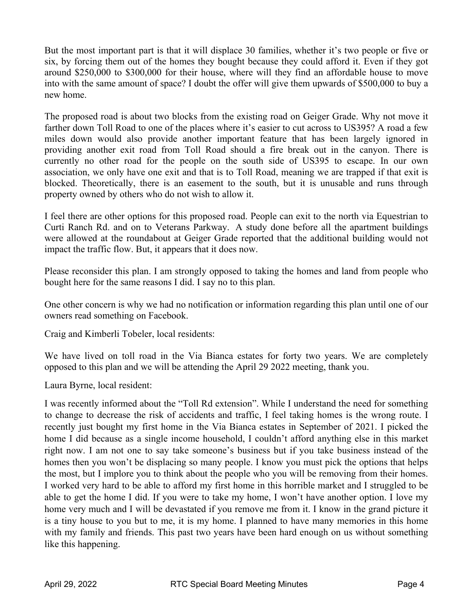But the most important part is that it will displace 30 families, whether it's two people or five or six, by forcing them out of the homes they bought because they could afford it. Even if they got around \$250,000 to \$300,000 for their house, where will they find an affordable house to move into with the same amount of space? I doubt the offer will give them upwards of \$500,000 to buy a new home.

 The proposed road is about two blocks from the existing road on Geiger Grade. Why not move it providing another exit road from Toll Road should a fire break out in the canyon. There is farther down Toll Road to one of the places where it's easier to cut across to US395? A road a few miles down would also provide another important feature that has been largely ignored in currently no other road for the people on the south side of US395 to escape. In our own association, we only have one exit and that is to Toll Road, meaning we are trapped if that exit is blocked. Theoretically, there is an easement to the south, but it is unusable and runs through property owned by others who do not wish to allow it.

 Curti Ranch Rd. and on to Veterans Parkway. A study done before all the apartment buildings I feel there are other options for this proposed road. People can exit to the north via Equestrian to were allowed at the roundabout at Geiger Grade reported that the additional building would not impact the traffic flow. But, it appears that it does now.

Please reconsider this plan. I am strongly opposed to taking the homes and land from people who bought here for the same reasons I did. I say no to this plan.

 One other concern is why we had no notification or information regarding this plan until one of our owners read something on Facebook.

Craig and Kimberli Tobeler, local residents:

 We have lived on toll road in the Via Bianca estates for forty two years. We are completely opposed to this plan and we will be attending the April 29 2022 meeting, thank you.

Laura Byrne, local resident:

 to change to decrease the risk of accidents and traffic, I feel taking homes is the wrong route. I home I did because as a single income household, I couldn't afford anything else in this market the most, but I implore you to think about the people who you will be removing from their homes. I worked very hard to be able to afford my first home in this horrible market and I struggled to be able to get the home I did. If you were to take my home, I won't have another option. I love my home very much and I will be devastated if you remove me from it. I know in the grand picture it with my family and friends. This past two years have been hard enough on us without something I was recently informed about the "Toll Rd extension". While I understand the need for something recently just bought my first home in the Via Bianca estates in September of 2021. I picked the right now. I am not one to say take someone's business but if you take business instead of the homes then you won't be displacing so many people. I know you must pick the options that helps is a tiny house to you but to me, it is my home. I planned to have many memories in this home like this happening.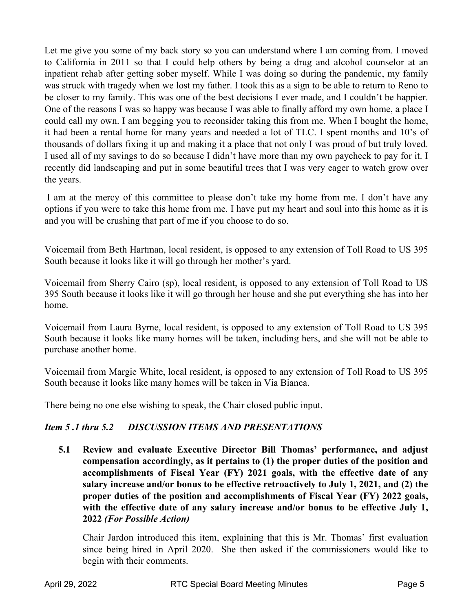Let me give you some of my back story so you can understand where I am coming from. I moved to California in 2011 so that I could help others by being a drug and alcohol counselor at an be closer to my family. This was one of the best decisions I ever made, and I couldn't be happier. One of the reasons I was so happy was because I was able to finally afford my own home, a place I could call my own. I am begging you to reconsider taking this from me. When I bought the home, I used all of my savings to do so because I didn't have more than my own paycheck to pay for it. I inpatient rehab after getting sober myself. While I was doing so during the pandemic, my family was struck with tragedy when we lost my father. I took this as a sign to be able to return to Reno to it had been a rental home for many years and needed a lot of TLC. I spent months and 10's of thousands of dollars fixing it up and making it a place that not only I was proud of but truly loved. recently did landscaping and put in some beautiful trees that I was very eager to watch grow over the years.

 I am at the mercy of this committee to please don't take my home from me. I don't have any options if you were to take this home from me. I have put my heart and soul into this home as it is and you will be crushing that part of me if you choose to do so.

Voicemail from Beth Hartman, local resident, is opposed to any extension of Toll Road to US 395 South because it looks like it will go through her mother's yard.

 Voicemail from Sherry Cairo (sp), local resident, is opposed to any extension of Toll Road to US 395 South because it looks like it will go through her house and she put everything she has into her home.

 Voicemail from Laura Byrne, local resident, is opposed to any extension of Toll Road to US 395 South because it looks like many homes will be taken, including hers, and she will not be able to purchase another home.

Voicemail from Margie White, local resident, is opposed to any extension of Toll Road to US 395 South because it looks like many homes will be taken in Via Bianca.

There being no one else wishing to speak, the Chair closed public input.

### *Item 5.1 thru 5.2* **DISCUSSION ITEMS AND PRESENTATIONS**

 **compensation accordingly, as it pertains to (1) the proper duties of the position and accomplishments of Fiscal Year (FY) 2021 goals, with the effective date of any**  with the effective date of any salary increase and/or bonus to be effective July 1,  **2022** *(For Possible Action)* **5.1 Review and evaluate Executive Director Bill Thomas' performance, and adjust salary increase and/or bonus to be effective retroactively to July 1, 2021, and (2) the proper duties of the position and accomplishments of Fiscal Year (FY) 2022 goals,** 

 Chair Jardon introduced this item, explaining that this is Mr. Thomas' first evaluation since being hired in April 2020. She then asked if the commissioners would like to begin with their comments.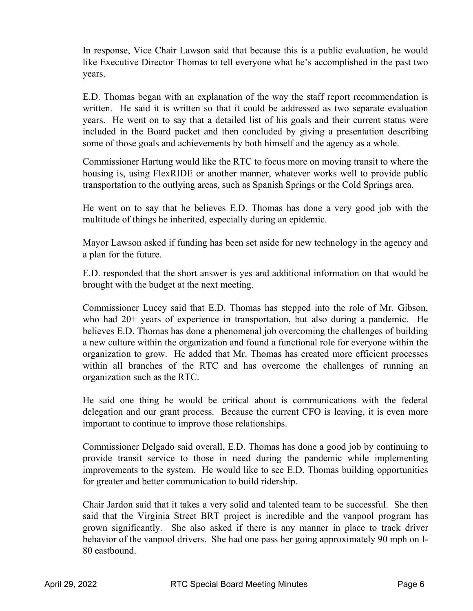In response, Vice Chair Lawson said that because this is a public evaluation, he would like Executive Director Thomas to tell everyone what he's accomplished in the past two years.

 E.D. Thomas began with an explanation of the way the staff report recommendation is years. He went on to say that a detailed list of his goals and their current status were included in the Board packet and then concluded by giving a presentation describing written. He said it is written so that it could be addressed as two separate evaluation some of those goals and achievements by both himself and the agency as a whole.

Commissioner Hartung would like the RTC to focus more on moving transit to where the housing is, using FlexRIDE or another manner, whatever works well to provide public transportation to the outlying areas, such as Spanish Springs or the Cold Springs area.

 He went on to say that he believes E.D. Thomas has done a very good job with the multitude of things he inherited, especially during an epidemic.

Mayor Lawson asked if funding has been set aside for new technology in the agency and a plan for the future.

 E.D. responded that the short answer is yes and additional information on that would be brought with the budget at the next meeting.

 believes E.D. Thomas has done a phenomenal job overcoming the challenges of building organization to grow. He added that Mr. Thomas has created more efficient processes within all branches of the RTC and has overcome the challenges of running an Commissioner Lucey said that E.D. Thomas has stepped into the role of Mr. Gibson, who had 20+ years of experience in transportation, but also during a pandemic. He a new culture within the organization and found a functional role for everyone within the organization such as the RTC.

 He said one thing he would be critical about is communications with the federal important to continue to improve those relationships. delegation and our grant process. Because the current CFO is leaving, it is even more

 improvements to the system. He would like to see E.D. Thomas building opportunities Commissioner Delgado said overall, E.D. Thomas has done a good job by continuing to provide transit service to those in need during the pandemic while implementing for greater and better communication to build ridership.

 Chair Jardon said that it takes a very solid and talented team to be successful. She then said that the Virginia Street BRT project is incredible and the vanpool program has grown significantly. She also asked if there is any manner in place to track driver behavior of the vanpool drivers. She had one pass her going approximately 90 mph on I-80 eastbound.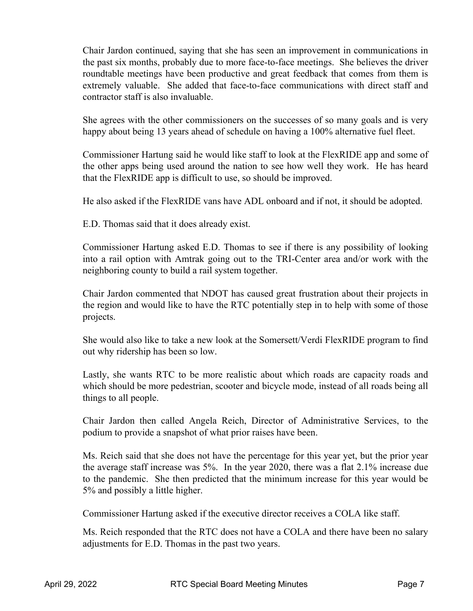Chair Jardon continued, saying that she has seen an improvement in communications in the past six months, probably due to more face-to-face meetings. She believes the driver roundtable meetings have been productive and great feedback that comes from them is extremely valuable. She added that face-to-face communications with direct staff and contractor staff is also invaluable.

 She agrees with the other commissioners on the successes of so many goals and is very happy about being 13 years ahead of schedule on having a 100% alternative fuel fleet.

Commissioner Hartung said he would like staff to look at the FlexRIDE app and some of the other apps being used around the nation to see how well they work. He has heard that the FlexRIDE app is difficult to use, so should be improved.

He also asked if the FlexRIDE vans have ADL onboard and if not, it should be adopted.

E.D. Thomas said that it does already exist.

 Commissioner Hartung asked E.D. Thomas to see if there is any possibility of looking into a rail option with Amtrak going out to the TRI-Center area and/or work with the neighboring county to build a rail system together.

 Chair Jardon commented that NDOT has caused great frustration about their projects in the region and would like to have the RTC potentially step in to help with some of those projects.

She would also like to take a new look at the Somersett/Verdi FlexRIDE program to find out why ridership has been so low.

 which should be more pedestrian, scooter and bicycle mode, instead of all roads being all Lastly, she wants RTC to be more realistic about which roads are capacity roads and things to all people.

 Chair Jardon then called Angela Reich, Director of Administrative Services, to the podium to provide a snapshot of what prior raises have been.

 the average staff increase was 5%. In the year 2020, there was a flat 2.1% increase due to the pandemic. She then predicted that the minimum increase for this year would be Ms. Reich said that she does not have the percentage for this year yet, but the prior year 5% and possibly a little higher.

Commissioner Hartung asked if the executive director receives a COLA like staff.

Ms. Reich responded that the RTC does not have a COLA and there have been no salary adjustments for E.D. Thomas in the past two years.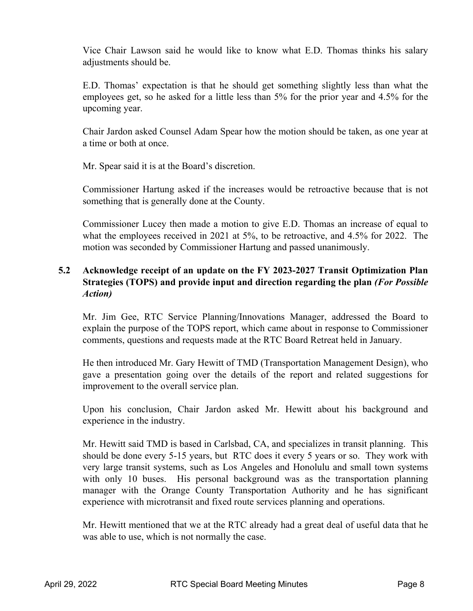Vice Chair Lawson said he would like to know what E.D. Thomas thinks his salary adjustments should be.

E.D. Thomas' expectation is that he should get something slightly less than what the employees get, so he asked for a little less than 5% for the prior year and 4.5% for the upcoming year.

 Chair Jardon asked Counsel Adam Spear how the motion should be taken, as one year at a time or both at once.

Mr. Spear said it is at the Board's discretion.

 something that is generally done at the County. Commissioner Hartung asked if the increases would be retroactive because that is not

 Commissioner Lucey then made a motion to give E.D. Thomas an increase of equal to what the employees received in 2021 at 5%, to be retroactive, and 4.5% for 2022. The motion was seconded by Commissioner Hartung and passed unanimously.

## **5.2 Acknowledge receipt of an update on the FY 2023-2027 Transit Optimization Plan Strategies (TOPS) and provide input and direction regarding the plan** *(For Possible Action)*

 comments, questions and requests made at the RTC Board Retreat held in January. Mr. Jim Gee, RTC Service Planning/Innovations Manager, addressed the Board to explain the purpose of the TOPS report, which came about in response to Commissioner

He then introduced Mr. Gary Hewitt of TMD (Transportation Management Design), who gave a presentation going over the details of the report and related suggestions for improvement to the overall service plan.

 Upon his conclusion, Chair Jardon asked Mr. Hewitt about his background and experience in the industry.

 should be done every 5-15 years, but RTC does it every 5 years or so. They work with Mr. Hewitt said TMD is based in Carlsbad, CA, and specializes in transit planning. This very large transit systems, such as Los Angeles and Honolulu and small town systems with only 10 buses. His personal background was as the transportation planning manager with the Orange County Transportation Authority and he has significant experience with microtransit and fixed route services planning and operations.

 Mr. Hewitt mentioned that we at the RTC already had a great deal of useful data that he was able to use, which is not normally the case.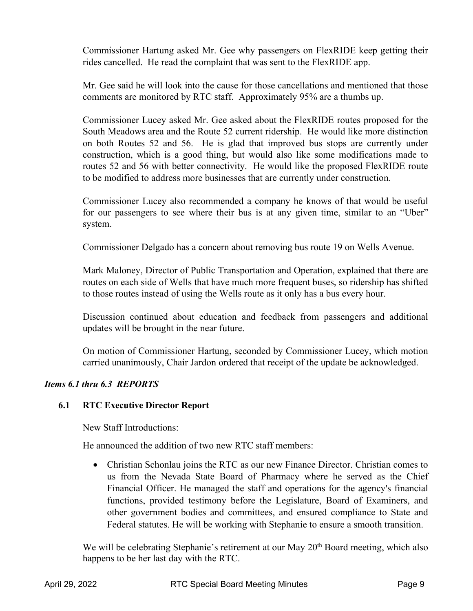Commissioner Hartung asked Mr. Gee why passengers on FlexRIDE keep getting their rides cancelled. He read the complaint that was sent to the FlexRIDE app.

 comments are monitored by RTC staff. Approximately 95% are a thumbs up. Mr. Gee said he will look into the cause for those cancellations and mentioned that those

 Commissioner Lucey asked Mr. Gee asked about the FlexRIDE routes proposed for the to be modified to address more businesses that are currently under construction. South Meadows area and the Route 52 current ridership. He would like more distinction on both Routes 52 and 56. He is glad that improved bus stops are currently under construction, which is a good thing, but would also like some modifications made to routes 52 and 56 with better connectivity. He would like the proposed FlexRIDE route

Commissioner Lucey also recommended a company he knows of that would be useful for our passengers to see where their bus is at any given time, similar to an "Uber" system.

Commissioner Delgado has a concern about removing bus route 19 on Wells Avenue.

 routes on each side of Wells that have much more frequent buses, so ridership has shifted Mark Maloney, Director of Public Transportation and Operation, explained that there are to those routes instead of using the Wells route as it only has a bus every hour.

 updates will be brought in the near future. Discussion continued about education and feedback from passengers and additional

On motion of Commissioner Hartung, seconded by Commissioner Lucey, which motion carried unanimously, Chair Jardon ordered that receipt of the update be acknowledged.

## *Items 6.1 thru 6.3 REPORTS*

## **6.1 RTC Executive Director Report**

New Staff Introductions:

He announced the addition of two new RTC staff members:

 other government bodies and committees, and ensured compliance to State and • Christian Schonlau joins the RTC as our new Finance Director. Christian comes to us from the Nevada State Board of Pharmacy where he served as the Chief Financial Officer. He managed the staff and operations for the agency's financial functions, provided testimony before the Legislature, Board of Examiners, and Federal statutes. He will be working with Stephanie to ensure a smooth transition.

We will be celebrating Stephanie's retirement at our May 20<sup>th</sup> Board meeting, which also happens to be her last day with the RTC.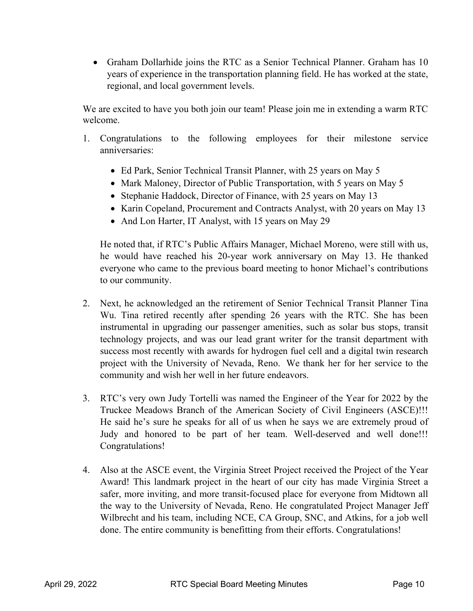• Graham Dollarhide joins the RTC as a Senior Technical Planner. Graham has 10 years of experience in the transportation planning field. He has worked at the state, regional, and local government levels.

We are excited to have you both join our team! Please join me in extending a warm RTC welcome.

- 1. Congratulations to the following employees for their milestone service anniversaries:
	- Ed Park, Senior Technical Transit Planner, with 25 years on May 5
	- Mark Maloney, Director of Public Transportation, with 5 years on May 5
	- Stephanie Haddock, Director of Finance, with 25 years on May 13
	- Karin Copeland, Procurement and Contracts Analyst, with 20 years on May 13
	- And Lon Harter, IT Analyst, with 15 years on May 29

 He noted that, if RTC's Public Affairs Manager, Michael Moreno, were still with us, everyone who came to the previous board meeting to honor Michael's contributions he would have reached his 20-year work anniversary on May 13. He thanked to our community.

- 2. Next, he acknowledged an the retirement of Senior Technical Transit Planner Tina instrumental in upgrading our passenger amenities, such as solar bus stops, transit technology projects, and was our lead grant writer for the transit department with success most recently with awards for hydrogen fuel cell and a digital twin research project with the University of Nevada, Reno. We thank her for her service to the Wu. Tina retired recently after spending 26 years with the RTC. She has been community and wish her well in her future endeavors.
- 3. RTC's very own Judy Tortelli was named the Engineer of the Year for 2022 by the He said he's sure he speaks for all of us when he says we are extremely proud of Judy and honored to be part of her team. Well-deserved and well done!!! Truckee Meadows Branch of the American Society of Civil Engineers (ASCE)!!! Congratulations!
- 4. Also at the ASCE event, the Virginia Street Project received the Project of the Year Award! This landmark project in the heart of our city has made Virginia Street a done. The entire community is benefitting from their efforts. Congratulations! safer, more inviting, and more transit-focused place for everyone from Midtown all the way to the University of Nevada, Reno. He congratulated Project Manager Jeff Wilbrecht and his team, including NCE, CA Group, SNC, and Atkins, for a job well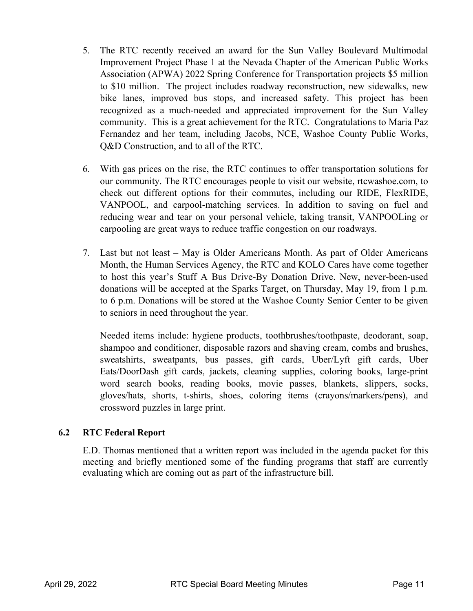- Association (APWA) 2022 Spring Conference for Transportation projects \$5 million 5. The RTC recently received an award for the Sun Valley Boulevard Multimodal Improvement Project Phase 1 at the Nevada Chapter of the American Public Works to \$10 million. The project includes roadway reconstruction, new sidewalks, new bike lanes, improved bus stops, and increased safety. This project has been recognized as a much-needed and appreciated improvement for the Sun Valley community. This is a great achievement for the RTC. Congratulations to Maria Paz Fernandez and her team, including Jacobs, NCE, Washoe County Public Works, Q&D Construction, and to all of the RTC.
- check out different options for their commutes, including our RIDE, FlexRIDE, carpooling are great ways to reduce traffic congestion on our roadways. 6. With gas prices on the rise, the RTC continues to offer transportation solutions for our community. The RTC encourages people to visit our website, rtcwashoe.com, to VANPOOL, and carpool-matching services. In addition to saving on fuel and reducing wear and tear on your personal vehicle, taking transit, VANPOOLing or
- 7. Last but not least May is Older Americans Month. As part of Older Americans Month, the Human Services Agency, the RTC and KOLO Cares have come together to host this year's Stuff A Bus Drive-By Donation Drive. New, never-been-used donations will be accepted at the Sparks Target, on Thursday, May 19, from 1 p.m. to 6 p.m. Donations will be stored at the Washoe County Senior Center to be given to seniors in need throughout the year.

 gloves/hats, shorts, t-shirts, shoes, coloring items (crayons/markers/pens), and Needed items include: hygiene products, toothbrushes/toothpaste, deodorant, soap, shampoo and conditioner, disposable razors and shaving cream, combs and brushes, sweatshirts, sweatpants, bus passes, gift cards, Uber/Lyft gift cards, Uber Eats/DoorDash gift cards, jackets, cleaning supplies, coloring books, large-print word search books, reading books, movie passes, blankets, slippers, socks, crossword puzzles in large print.

### **6.2 RTC Federal Report**

 E.D. Thomas mentioned that a written report was included in the agenda packet for this meeting and briefly mentioned some of the funding programs that staff are currently evaluating which are coming out as part of the infrastructure bill.